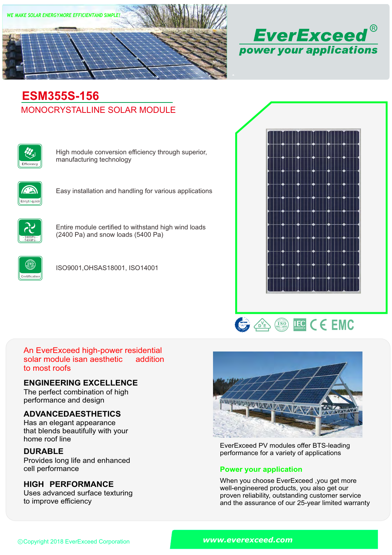



# MONOCRYSTALLINE SOLAR MODULE **ESM355S-156**



High module conversion efficiency through superior, manufacturing technology



Easy installation and handling for various applications



Entire module certified to withstand high wind loads (2400 Pa) and snow loads (5400 Pa)



ISO9001,OHSAS18001, ISO14001





#### An EverExceed high-power residential solar module isan aesthetic to most roofs addition

### **ENGINEERING EXCELLENCE**

The perfect combination of high performance and design

### **ADVANCEDAESTHETICS**

Has an elegant appearance that blends beautifully with your home roof line

### **DURABLE**

Provides long life and enhanced<br>cell performance

### **HIGH PERFORMANCE**

Uses advanced surface texturing to improve efficiency



EverExceed PV modules offer BTS-leading performance for a variety of applications

### **Power your application**

When you choose EverExceed ,you get more well-engineered products, you also get our proven reliability, outstanding customer service and the assurance of our 25-year limited warranty